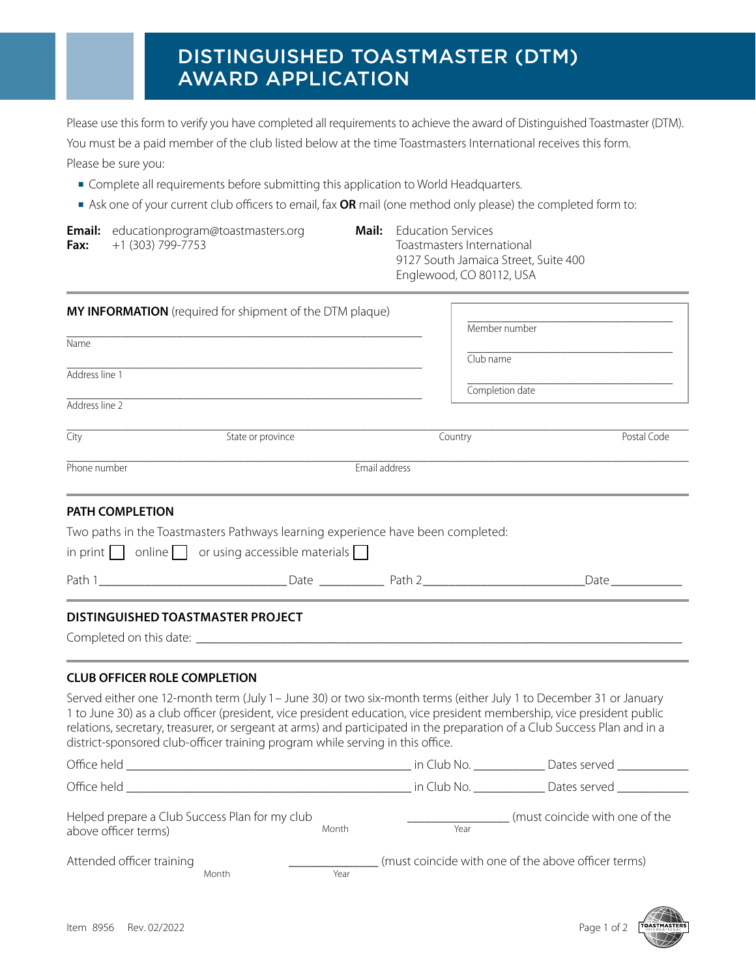# DISTINGUISHED TOASTMASTER (DTM) AWARD APPLICATION

Please use this form to verify you have completed all requirements to achieve the award of Distinguished Toastmaster (DTM). You must be a paid member of the club listed below at the time Toastmasters International receives this form. Please be sure you:

- Complete all requirements before submitting this application to World Headquarters.
- **■** Ask one of your current club officers to email, fax **OR** mail (one method only please) the completed form to:

| Fax:           | <b>Email:</b> educationprogram@toastmasters.org<br>+1 (303) 799-7753                                                                                                                                                                                                                                                                                                                                                                                        | Mail:         | <b>Education Services</b><br>Toastmasters International<br>9127 South Jamaica Street, Suite 400<br>Englewood, CO 80112, USA |                                |             |
|----------------|-------------------------------------------------------------------------------------------------------------------------------------------------------------------------------------------------------------------------------------------------------------------------------------------------------------------------------------------------------------------------------------------------------------------------------------------------------------|---------------|-----------------------------------------------------------------------------------------------------------------------------|--------------------------------|-------------|
|                | MY INFORMATION (required for shipment of the DTM plaque)                                                                                                                                                                                                                                                                                                                                                                                                    |               |                                                                                                                             | Member number                  |             |
| Name           |                                                                                                                                                                                                                                                                                                                                                                                                                                                             |               |                                                                                                                             | Club name                      |             |
| Address line 1 |                                                                                                                                                                                                                                                                                                                                                                                                                                                             |               |                                                                                                                             | Completion date                |             |
| Address line 2 |                                                                                                                                                                                                                                                                                                                                                                                                                                                             |               |                                                                                                                             |                                |             |
| City           | State or province                                                                                                                                                                                                                                                                                                                                                                                                                                           |               | Country                                                                                                                     |                                | Postal Code |
| Phone number   |                                                                                                                                                                                                                                                                                                                                                                                                                                                             | Email address |                                                                                                                             |                                |             |
|                | in print $\Box$ online $\Box$ or using accessible materials $\Box$                                                                                                                                                                                                                                                                                                                                                                                          |               | $\Box$ Date $\Box$                                                                                                          |                                |             |
|                | DISTINGUISHED TOASTMASTER PROJECT                                                                                                                                                                                                                                                                                                                                                                                                                           |               |                                                                                                                             |                                |             |
|                | <b>CLUB OFFICER ROLE COMPLETION</b>                                                                                                                                                                                                                                                                                                                                                                                                                         |               |                                                                                                                             |                                |             |
|                | Served either one 12-month term (July 1 - June 30) or two six-month terms (either July 1 to December 31 or January<br>1 to June 30) as a club officer (president, vice president education, vice president membership, vice president public<br>relations, secretary, treasurer, or sergeant at arms) and participated in the preparation of a Club Success Plan and in a<br>district-sponsored club-officer training program while serving in this office. |               |                                                                                                                             |                                |             |
|                |                                                                                                                                                                                                                                                                                                                                                                                                                                                             |               |                                                                                                                             |                                |             |
|                |                                                                                                                                                                                                                                                                                                                                                                                                                                                             |               |                                                                                                                             |                                |             |
|                | Helped prepare a Club Success Plan for my club<br>Month<br>above officer terms)                                                                                                                                                                                                                                                                                                                                                                             |               | Year                                                                                                                        | (must coincide with one of the |             |

Attended officer training Month  $\frac{1}{\text{Year}}$  (must coincide with one of the above officer terms) Month